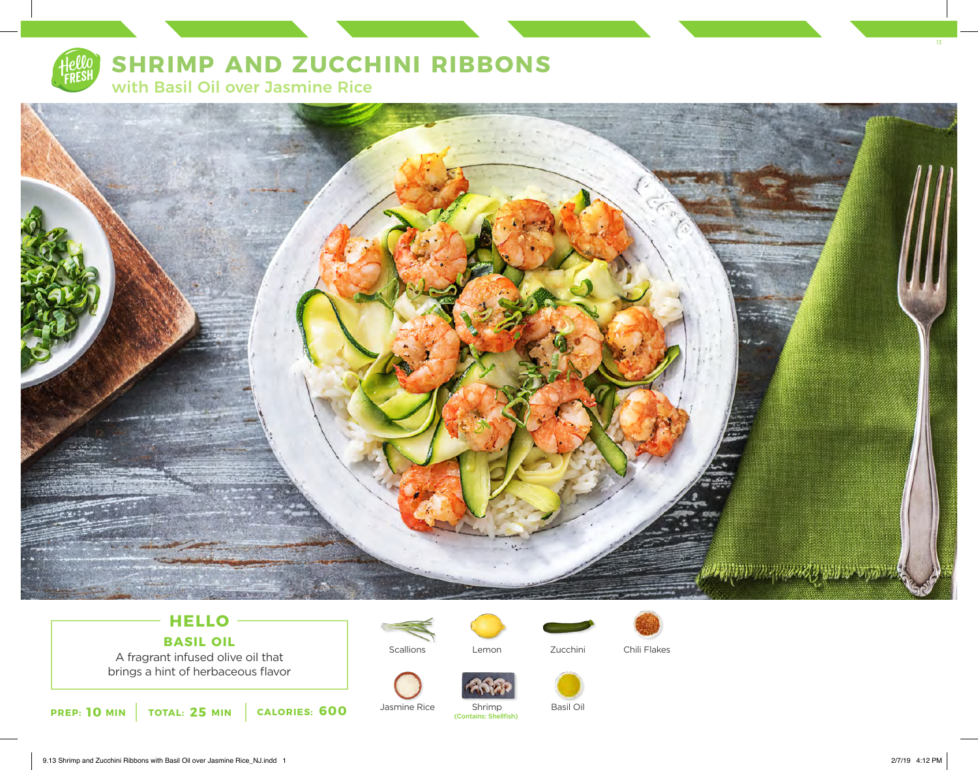

# **SHRIMP AND ZUCCHINI RIBBONS**

with Basil Oil over Jasmine Rice



# **HELLO BASIL OIL**

A fragrant infused olive oil that brings a hint of herbaceous flavor



Jasmine Rice

**Scallions** 





Lemon Zucchini Chili Flakes



Basil Oil

Shrimp<br>(Contains: Shellfish)